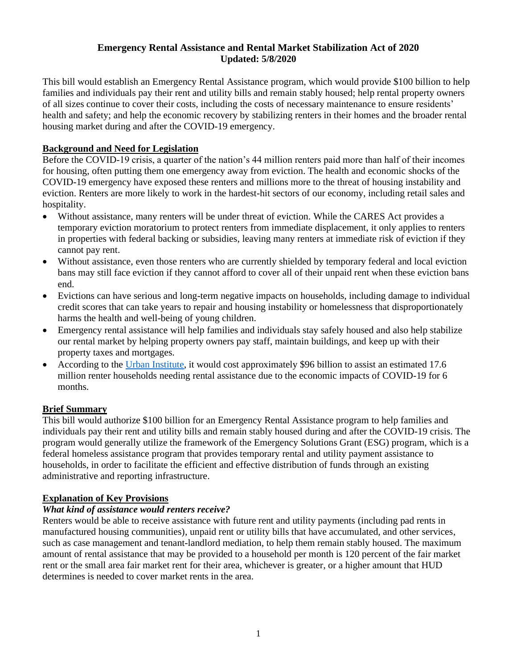#### **Emergency Rental Assistance and Rental Market Stabilization Act of 2020 Updated: 5/8/2020**

This bill would establish an Emergency Rental Assistance program, which would provide \$100 billion to help families and individuals pay their rent and utility bills and remain stably housed; help rental property owners of all sizes continue to cover their costs, including the costs of necessary maintenance to ensure residents' health and safety; and help the economic recovery by stabilizing renters in their homes and the broader rental housing market during and after the COVID-19 emergency.

# **Background and Need for Legislation**

Before the COVID-19 crisis, a quarter of the nation's 44 million renters paid more than half of their incomes for housing, often putting them one emergency away from eviction. The health and economic shocks of the COVID-19 emergency have exposed these renters and millions more to the threat of housing instability and eviction. Renters are more likely to work in the hardest-hit sectors of our economy, including retail sales and hospitality.

- Without assistance, many renters will be under threat of eviction. While the CARES Act provides a temporary eviction moratorium to protect renters from immediate displacement, it only applies to renters in properties with federal backing or subsidies, leaving many renters at immediate risk of eviction if they cannot pay rent.
- Without assistance, even those renters who are currently shielded by temporary federal and local eviction bans may still face eviction if they cannot afford to cover all of their unpaid rent when these eviction bans end.
- Evictions can have serious and long-term negative impacts on households, including damage to individual credit scores that can take years to repair and housing instability or homelessness that disproportionately harms the health and well-being of young children.
- Emergency rental assistance will help families and individuals stay safely housed and also help stabilize our rental market by helping property owners pay staff, maintain buildings, and keep up with their property taxes and mortgages.
- According to the [Urban Institute,](https://www.urban.org/urban-wire/price-tag-keeping-29-million-families-their-homes-162-billion?cm_ven=ExactTarget&cm_cat=HFPC+-+04.07.2020&cm_pla=All+Subscribers&cm_ite=https%3a%2f%2fwww.urban.org%2furban-wire%2fprice-tag-keeping-29-million-families-their-homes-162-billion&cm_ainfo=&&utm_source=%20urban_newsletters&&utm_medium=news-HFPC&&utm_term=HFPC&&) it would cost approximately \$96 billion to assist an estimated 17.6 million renter households needing rental assistance due to the economic impacts of COVID-19 for 6 months.

# **Brief Summary**

This bill would authorize \$100 billion for an Emergency Rental Assistance program to help families and individuals pay their rent and utility bills and remain stably housed during and after the COVID-19 crisis. The program would generally utilize the framework of the Emergency Solutions Grant (ESG) program, which is a federal homeless assistance program that provides temporary rental and utility payment assistance to households, in order to facilitate the efficient and effective distribution of funds through an existing administrative and reporting infrastructure.

# **Explanation of Key Provisions**

# *What kind of assistance would renters receive?*

Renters would be able to receive assistance with future rent and utility payments (including pad rents in manufactured housing communities), unpaid rent or utility bills that have accumulated, and other services, such as case management and tenant-landlord mediation, to help them remain stably housed. The maximum amount of rental assistance that may be provided to a household per month is 120 percent of the fair market rent or the small area fair market rent for their area, whichever is greater, or a higher amount that HUD determines is needed to cover market rents in the area.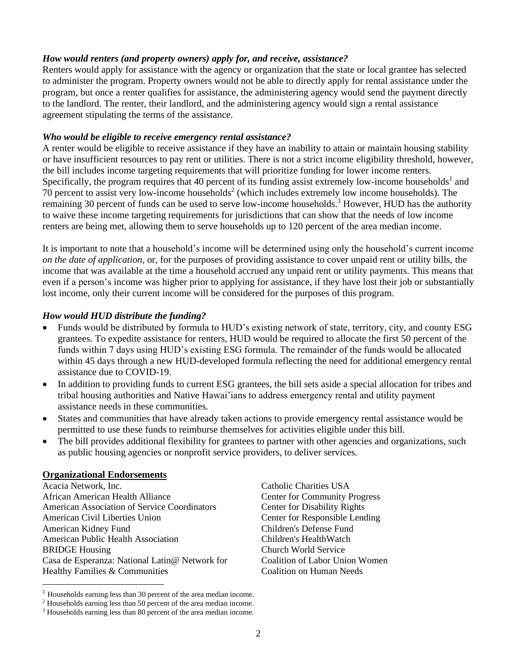#### *How would renters (and property owners) apply for, and receive, assistance?*

Renters would apply for assistance with the agency or organization that the state or local grantee has selected to administer the program. Property owners would not be able to directly apply for rental assistance under the program, but once a renter qualifies for assistance, the administering agency would send the payment directly to the landlord. The renter, their landlord, and the administering agency would sign a rental assistance agreement stipulating the terms of the assistance.

#### *Who would be eligible to receive emergency rental assistance?*

A renter would be eligible to receive assistance if they have an inability to attain or maintain housing stability or have insufficient resources to pay rent or utilities. There is not a strict income eligibility threshold, however, the bill includes income targeting requirements that will prioritize funding for lower income renters. Specifically, the program requires that 40 percent of its funding assist extremely low-income households<sup>1</sup> and 70 percent to assist very low-income households<sup>2</sup> (which includes extremely low income households). The remaining 30 percent of funds can be used to serve low-income households.<sup>3</sup> However, HUD has the authority to waive these income targeting requirements for jurisdictions that can show that the needs of low income renters are being met, allowing them to serve households up to 120 percent of the area median income.

It is important to note that a household's income will be determined using only the household's current income *on the date of application*, or, for the purposes of providing assistance to cover unpaid rent or utility bills, the income that was available at the time a household accrued any unpaid rent or utility payments. This means that even if a person's income was higher prior to applying for assistance, if they have lost their job or substantially lost income, only their current income will be considered for the purposes of this program.

### *How would HUD distribute the funding?*

- Funds would be distributed by formula to HUD's existing network of state, territory, city, and county ESG grantees. To expedite assistance for renters, HUD would be required to allocate the first 50 percent of the funds within 7 days using HUD's existing ESG formula. The remainder of the funds would be allocated within 45 days through a new HUD-developed formula reflecting the need for additional emergency rental assistance due to COVID-19.
- In addition to providing funds to current ESG grantees, the bill sets aside a special allocation for tribes and tribal housing authorities and Native Hawai'ians to address emergency rental and utility payment assistance needs in these communities.
- States and communities that have already taken actions to provide emergency rental assistance would be permitted to use these funds to reimburse themselves for activities eligible under this bill.
- The bill provides additional flexibility for grantees to partner with other agencies and organizations, such as public housing agencies or nonprofit service providers, to deliver services.

#### **Organizational Endorsements**

Acacia Network, Inc. African American Health Alliance American Association of Service Coordinators American Civil Liberties Union American Kidney Fund American Public Health Association BRIDGE Housing Casa de Esperanza: National Latin@ Network for Healthy Families & Communities

Catholic Charities USA Center for Community Progress Center for Disability Rights Center for Responsible Lending Children's Defense Fund Children's HealthWatch Church World Service Coalition of Labor Union Women Coalition on Human Needs

<sup>&</sup>lt;sup>1</sup> Households earning less than 30 percent of the area median income.

<sup>2</sup> Households earning less than 50 percent of the area median income.

<sup>3</sup> Households earning less than 80 percent of the area median income.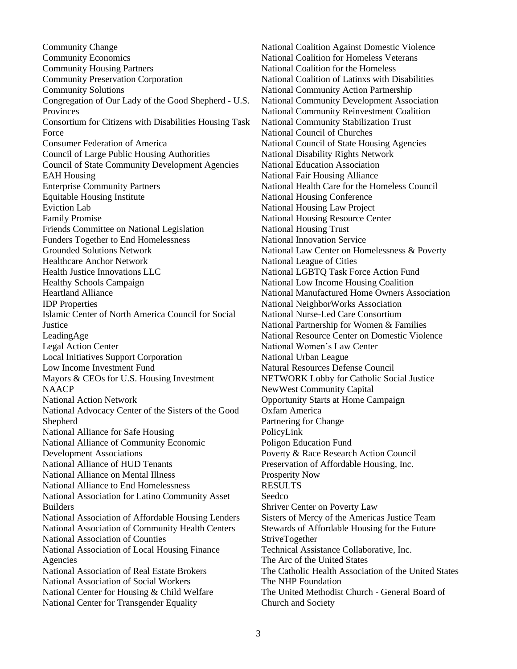Community Change Community Economics Community Housing Partners Community Preservation Corporation Community Solutions Congregation of Our Lady of the Good Shepherd - U.S. Provinces Consortium for Citizens with Disabilities Housing Task Force Consumer Federation of America Council of Large Public Housing Authorities Council of State Community Development Agencies EAH Housing Enterprise Community Partners Equitable Housing Institute Eviction Lab Family Promise Friends Committee on National Legislation Funders Together to End Homelessness Grounded Solutions Network Healthcare Anchor Network Health Justice Innovations LLC Healthy Schools Campaign Heartland Alliance IDP Properties Islamic Center of North America Council for Social **Justice** LeadingAge Legal Action Center Local Initiatives Support Corporation Low Income Investment Fund Mayors & CEOs for U.S. Housing Investment **NAACP** National Action Network National Advocacy Center of the Sisters of the Good **Shepherd** National Alliance for Safe Housing National Alliance of Community Economic Development Associations National Alliance of HUD Tenants National Alliance on Mental Illness National Alliance to End Homelessness National Association for Latino Community Asset Builders National Association of Affordable Housing Lenders National Association of Community Health Centers National Association of Counties National Association of Local Housing Finance Agencies National Association of Real Estate Brokers National Association of Social Workers National Center for Housing & Child Welfare National Center for Transgender Equality

National Coalition Against Domestic Violence National Coalition for Homeless Veterans National Coalition for the Homeless National Coalition of Latinxs with Disabilities National Community Action Partnership National Community Development Association National Community Reinvestment Coalition National Community Stabilization Trust National Council of Churches National Council of State Housing Agencies National Disability Rights Network National Education Association National Fair Housing Alliance National Health Care for the Homeless Council National Housing Conference National Housing Law Project National Housing Resource Center National Housing Trust National Innovation Service National Law Center on Homelessness & Poverty National League of Cities National LGBTQ Task Force Action Fund National Low Income Housing Coalition National Manufactured Home Owners Association National NeighborWorks Association National Nurse-Led Care Consortium National Partnership for Women & Families National Resource Center on Domestic Violence National Women's Law Center National Urban League Natural Resources Defense Council NETWORK Lobby for Catholic Social Justice NewWest Community Capital Opportunity Starts at Home Campaign Oxfam America Partnering for Change PolicyLink Poligon Education Fund Poverty & Race Research Action Council Preservation of Affordable Housing, Inc. Prosperity Now RESULTS Seedco Shriver Center on Poverty Law Sisters of Mercy of the Americas Justice Team Stewards of Affordable Housing for the Future **StriveTogether** Technical Assistance Collaborative, Inc. The Arc of the United States The Catholic Health Association of the United States The NHP Foundation The United Methodist Church - General Board of Church and Society